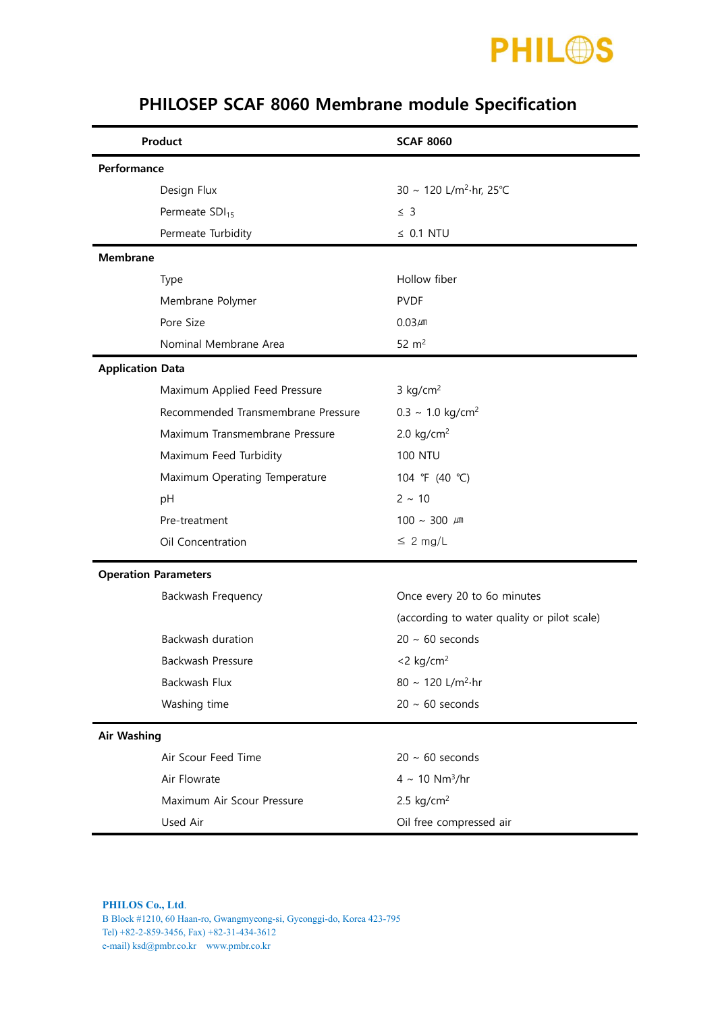

| Product                     |                                    | <b>SCAF 8060</b>                            |  |  |  |
|-----------------------------|------------------------------------|---------------------------------------------|--|--|--|
| Performance                 |                                    |                                             |  |  |  |
|                             | Design Flux                        | 30 ~ 120 L/m <sup>2</sup> ·hr, 25°C         |  |  |  |
|                             | Permeate SDI <sub>15</sub>         | $\leq$ 3                                    |  |  |  |
|                             | Permeate Turbidity                 | $\leq$ 0.1 NTU                              |  |  |  |
| <b>Membrane</b>             |                                    |                                             |  |  |  |
|                             | Type                               | Hollow fiber                                |  |  |  |
|                             | Membrane Polymer                   | <b>PVDF</b>                                 |  |  |  |
|                             | Pore Size                          | $0.03 \mu m$                                |  |  |  |
|                             | Nominal Membrane Area              | $52 \text{ m}^2$                            |  |  |  |
| <b>Application Data</b>     |                                    |                                             |  |  |  |
|                             | Maximum Applied Feed Pressure      | $3$ kg/cm <sup>2</sup>                      |  |  |  |
|                             | Recommended Transmembrane Pressure | $0.3 \sim 1.0 \text{ kg/cm}^2$              |  |  |  |
|                             | Maximum Transmembrane Pressure     | 2.0 $kg/cm2$                                |  |  |  |
|                             | Maximum Feed Turbidity             | <b>100 NTU</b>                              |  |  |  |
|                             | Maximum Operating Temperature      | 104 °F (40 °C)                              |  |  |  |
|                             | pH                                 | $2 \sim 10$                                 |  |  |  |
|                             | Pre-treatment                      | $100 \sim 300 \mu m$                        |  |  |  |
|                             | Oil Concentration                  | $\leq 2$ mg/L                               |  |  |  |
| <b>Operation Parameters</b> |                                    |                                             |  |  |  |
|                             | Backwash Frequency                 | Once every 20 to 6o minutes                 |  |  |  |
|                             |                                    | (according to water quality or pilot scale) |  |  |  |
|                             | Backwash duration                  | $20 \sim 60$ seconds                        |  |  |  |
|                             | Backwash Pressure                  | $<$ 2 kg/cm <sup>2</sup>                    |  |  |  |
|                             | Backwash Flux                      | 80 ~ 120 L/m <sup>2</sup> ·hr               |  |  |  |
|                             | Washing time                       | $20 \sim 60$ seconds                        |  |  |  |
| <b>Air Washing</b>          |                                    |                                             |  |  |  |
|                             | Air Scour Feed Time                | $20 \sim 60$ seconds                        |  |  |  |
|                             | Air Flowrate                       | $4 \sim 10 \text{ Nm}^3/\text{hr}$          |  |  |  |
|                             | Maximum Air Scour Pressure         | 2.5 $kg/cm2$                                |  |  |  |
|                             | Used Air                           | Oil free compressed air                     |  |  |  |

## PHILOSEP SCAF 8060 Membrane module Specification